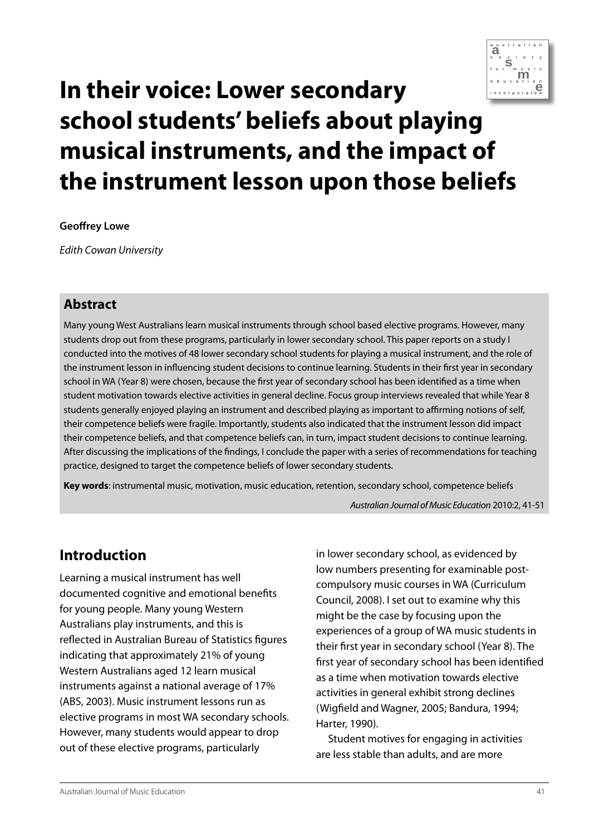

# **In their voice: Lower secondary school students' beliefs about playing musical instruments, and the impact of the instrument lesson upon those beliefs**

#### **Geoffrey Lowe**

*Edith Cowan University*

## **Abstract**

Many young West Australians learn musical instruments through school based elective programs. However, many students drop out from these programs, particularly in lower secondary school. This paper reports on a study I conducted into the motives of 48 lower secondary school students for playing a musical instrument, and the role of the instrument lesson in influencing student decisions to continue learning. Students in their first year in secondary school in WA (Year 8) were chosen, because the first year of secondary school has been identified as a time when student motivation towards elective activities in general decline. Focus group interviews revealed that while Year 8 students generally enjoyed playing an instrument and described playing as important to affirming notions of self, their competence beliefs were fragile. Importantly, students also indicated that the instrument lesson did impact their competence beliefs, and that competence beliefs can, in turn, impact student decisions to continue learning. After discussing the implications of the findings, I conclude the paper with a series of recommendations for teaching practice, designed to target the competence beliefs of lower secondary students.

**Key words**: instrumental music, motivation, music education, retention, secondary school, competence beliefs

*Australian Journal of Music Education* 2010:2, 41-51

# **Introduction**

Learning a musical instrument has well documented cognitive and emotional benefits for young people. Many young Western Australians play instruments, and this is reflected in Australian Bureau of Statistics figures indicating that approximately 21% of young Western Australians aged 12 learn musical instruments against a national average of 17% (ABS, 2003). Music instrument lessons run as elective programs in most WA secondary schools. However, many students would appear to drop out of these elective programs, particularly

in lower secondary school, as evidenced by low numbers presenting for examinable postcompulsory music courses in WA (Curriculum Council, 2008). I set out to examine why this might be the case by focusing upon the experiences of a group of WA music students in their first year in secondary school (Year 8). The first year of secondary school has been identified as a time when motivation towards elective activities in general exhibit strong declines (Wigfield and Wagner, 2005; Bandura, 1994; Harter, 1990).

Student motives for engaging in activities are less stable than adults, and are more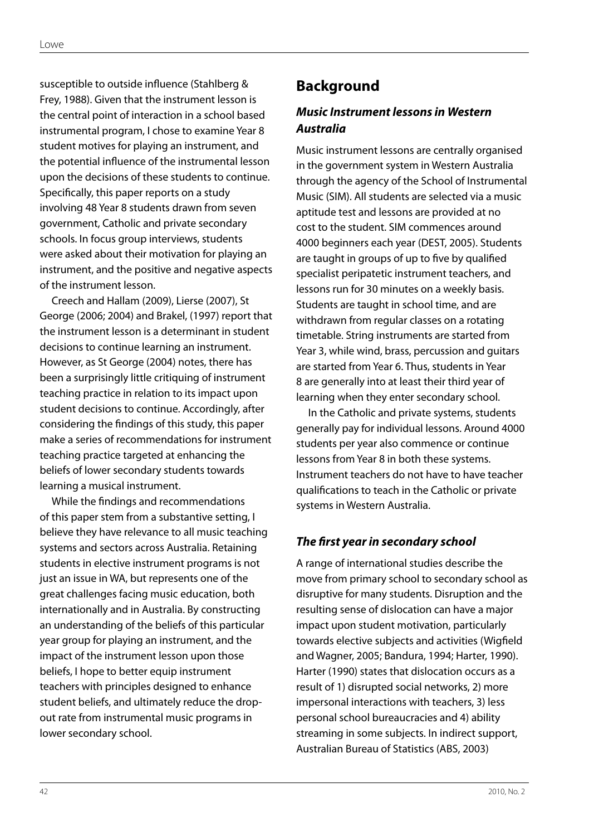susceptible to outside influence (Stahlberg & Frey, 1988). Given that the instrument lesson is the central point of interaction in a school based instrumental program, I chose to examine Year 8 student motives for playing an instrument, and the potential influence of the instrumental lesson upon the decisions of these students to continue. Specifically, this paper reports on a study involving 48 Year 8 students drawn from seven government, Catholic and private secondary schools. In focus group interviews, students were asked about their motivation for playing an instrument, and the positive and negative aspects of the instrument lesson.

Creech and Hallam (2009), Lierse (2007), St George (2006; 2004) and Brakel, (1997) report that the instrument lesson is a determinant in student decisions to continue learning an instrument. However, as St George (2004) notes, there has been a surprisingly little critiquing of instrument teaching practice in relation to its impact upon student decisions to continue. Accordingly, after considering the findings of this study, this paper make a series of recommendations for instrument teaching practice targeted at enhancing the beliefs of lower secondary students towards learning a musical instrument.

While the findings and recommendations of this paper stem from a substantive setting, I believe they have relevance to all music teaching systems and sectors across Australia. Retaining students in elective instrument programs is not just an issue in WA, but represents one of the great challenges facing music education, both internationally and in Australia. By constructing an understanding of the beliefs of this particular year group for playing an instrument, and the impact of the instrument lesson upon those beliefs, I hope to better equip instrument teachers with principles designed to enhance student beliefs, and ultimately reduce the dropout rate from instrumental music programs in lower secondary school.

# **Background**

# *Music Instrument lessons in Western Australia*

Music instrument lessons are centrally organised in the government system in Western Australia through the agency of the School of Instrumental Music (SIM). All students are selected via a music aptitude test and lessons are provided at no cost to the student. SIM commences around 4000 beginners each year (DEST, 2005). Students are taught in groups of up to five by qualified specialist peripatetic instrument teachers, and lessons run for 30 minutes on a weekly basis. Students are taught in school time, and are withdrawn from regular classes on a rotating timetable. String instruments are started from Year 3, while wind, brass, percussion and guitars are started from Year 6. Thus, students in Year 8 are generally into at least their third year of learning when they enter secondary school.

In the Catholic and private systems, students generally pay for individual lessons. Around 4000 students per year also commence or continue lessons from Year 8 in both these systems. Instrument teachers do not have to have teacher qualifications to teach in the Catholic or private systems in Western Australia.

#### *The first year in secondary school*

A range of international studies describe the move from primary school to secondary school as disruptive for many students. Disruption and the resulting sense of dislocation can have a major impact upon student motivation, particularly towards elective subjects and activities (Wigfield and Wagner, 2005; Bandura, 1994; Harter, 1990). Harter (1990) states that dislocation occurs as a result of 1) disrupted social networks, 2) more impersonal interactions with teachers, 3) less personal school bureaucracies and 4) ability streaming in some subjects. In indirect support, Australian Bureau of Statistics (ABS, 2003)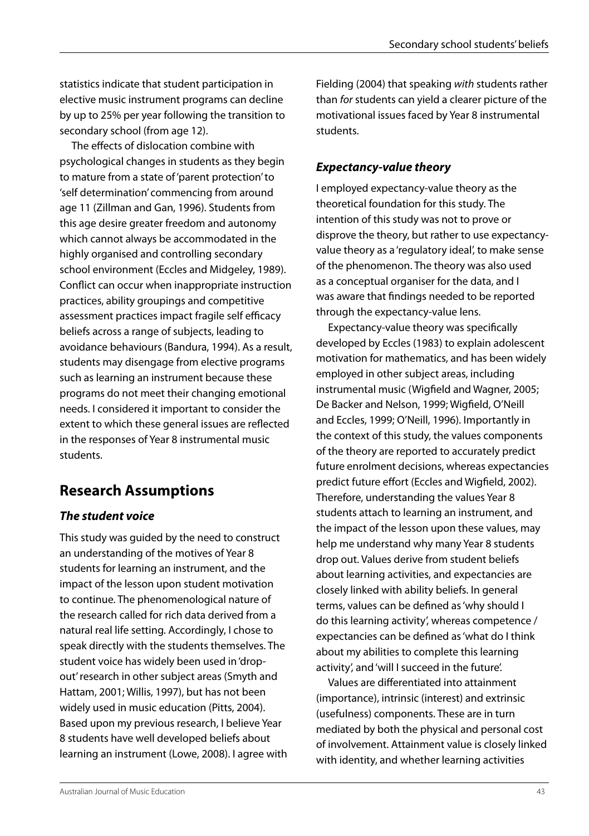statistics indicate that student participation in elective music instrument programs can decline by up to 25% per year following the transition to secondary school (from age 12).

The effects of dislocation combine with psychological changes in students as they begin to mature from a state of 'parent protection' to 'self determination' commencing from around age 11 (Zillman and Gan, 1996). Students from this age desire greater freedom and autonomy which cannot always be accommodated in the highly organised and controlling secondary school environment (Eccles and Midgeley, 1989). Conflict can occur when inappropriate instruction practices, ability groupings and competitive assessment practices impact fragile self efficacy beliefs across a range of subjects, leading to avoidance behaviours (Bandura, 1994). As a result, students may disengage from elective programs such as learning an instrument because these programs do not meet their changing emotional needs. I considered it important to consider the extent to which these general issues are reflected in the responses of Year 8 instrumental music students.

# **Research Assumptions**

# *The student voice*

This study was guided by the need to construct an understanding of the motives of Year 8 students for learning an instrument, and the impact of the lesson upon student motivation to continue. The phenomenological nature of the research called for rich data derived from a natural real life setting. Accordingly, I chose to speak directly with the students themselves. The student voice has widely been used in 'dropout' research in other subject areas (Smyth and Hattam, 2001; Willis, 1997), but has not been widely used in music education (Pitts, 2004). Based upon my previous research, I believe Year 8 students have well developed beliefs about learning an instrument (Lowe, 2008). I agree with Fielding (2004) that speaking *with* students rather than *for* students can yield a clearer picture of the motivational issues faced by Year 8 instrumental students.

# *Expectancy-value theory*

I employed expectancy-value theory as the theoretical foundation for this study. The intention of this study was not to prove or disprove the theory, but rather to use expectancyvalue theory as a 'regulatory ideal', to make sense of the phenomenon. The theory was also used as a conceptual organiser for the data, and I was aware that findings needed to be reported through the expectancy-value lens.

Expectancy-value theory was specifically developed by Eccles (1983) to explain adolescent motivation for mathematics, and has been widely employed in other subject areas, including instrumental music (Wigfield and Wagner, 2005; De Backer and Nelson, 1999; Wigfield, O'Neill and Eccles, 1999; O'Neill, 1996). Importantly in the context of this study, the values components of the theory are reported to accurately predict future enrolment decisions, whereas expectancies predict future effort (Eccles and Wigfield, 2002). Therefore, understanding the values Year 8 students attach to learning an instrument, and the impact of the lesson upon these values, may help me understand why many Year 8 students drop out. Values derive from student beliefs about learning activities, and expectancies are closely linked with ability beliefs. In general terms, values can be defined as 'why should I do this learning activity', whereas competence / expectancies can be defined as 'what do I think about my abilities to complete this learning activity', and 'will I succeed in the future'.

Values are differentiated into attainment (importance), intrinsic (interest) and extrinsic (usefulness) components. These are in turn mediated by both the physical and personal cost of involvement. Attainment value is closely linked with identity, and whether learning activities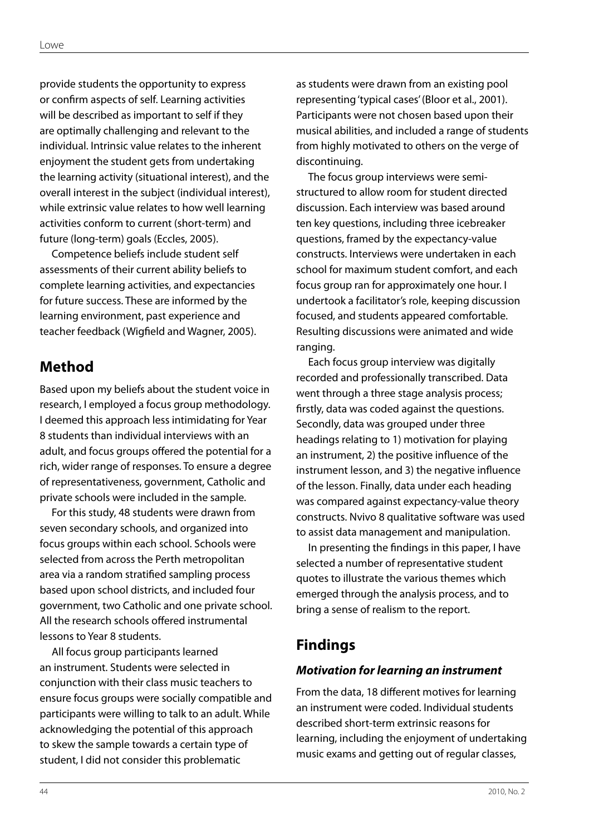provide students the opportunity to express or confirm aspects of self. Learning activities will be described as important to self if they are optimally challenging and relevant to the individual. Intrinsic value relates to the inherent enjoyment the student gets from undertaking the learning activity (situational interest), and the overall interest in the subject (individual interest), while extrinsic value relates to how well learning activities conform to current (short-term) and future (long-term) goals (Eccles, 2005).

Competence beliefs include student self assessments of their current ability beliefs to complete learning activities, and expectancies for future success. These are informed by the learning environment, past experience and teacher feedback (Wigfield and Wagner, 2005).

# **Method**

Based upon my beliefs about the student voice in research, I employed a focus group methodology. I deemed this approach less intimidating for Year 8 students than individual interviews with an adult, and focus groups offered the potential for a rich, wider range of responses. To ensure a degree of representativeness, government, Catholic and private schools were included in the sample.

For this study, 48 students were drawn from seven secondary schools, and organized into focus groups within each school. Schools were selected from across the Perth metropolitan area via a random stratified sampling process based upon school districts, and included four government, two Catholic and one private school. All the research schools offered instrumental lessons to Year 8 students.

All focus group participants learned an instrument. Students were selected in conjunction with their class music teachers to ensure focus groups were socially compatible and participants were willing to talk to an adult. While acknowledging the potential of this approach to skew the sample towards a certain type of student, I did not consider this problematic

as students were drawn from an existing pool representing 'typical cases' (Bloor et al., 2001). Participants were not chosen based upon their musical abilities, and included a range of students from highly motivated to others on the verge of discontinuing.

The focus group interviews were semistructured to allow room for student directed discussion. Each interview was based around ten key questions, including three icebreaker questions, framed by the expectancy-value constructs. Interviews were undertaken in each school for maximum student comfort, and each focus group ran for approximately one hour. I undertook a facilitator's role, keeping discussion focused, and students appeared comfortable. Resulting discussions were animated and wide ranging.

Each focus group interview was digitally recorded and professionally transcribed. Data went through a three stage analysis process; firstly, data was coded against the questions. Secondly, data was grouped under three headings relating to 1) motivation for playing an instrument, 2) the positive influence of the instrument lesson, and 3) the negative influence of the lesson. Finally, data under each heading was compared against expectancy-value theory constructs. Nvivo 8 qualitative software was used to assist data management and manipulation.

In presenting the findings in this paper, I have selected a number of representative student quotes to illustrate the various themes which emerged through the analysis process, and to bring a sense of realism to the report.

# **Findings**

#### *Motivation for learning an instrument*

From the data, 18 different motives for learning an instrument were coded. Individual students described short-term extrinsic reasons for learning, including the enjoyment of undertaking music exams and getting out of regular classes,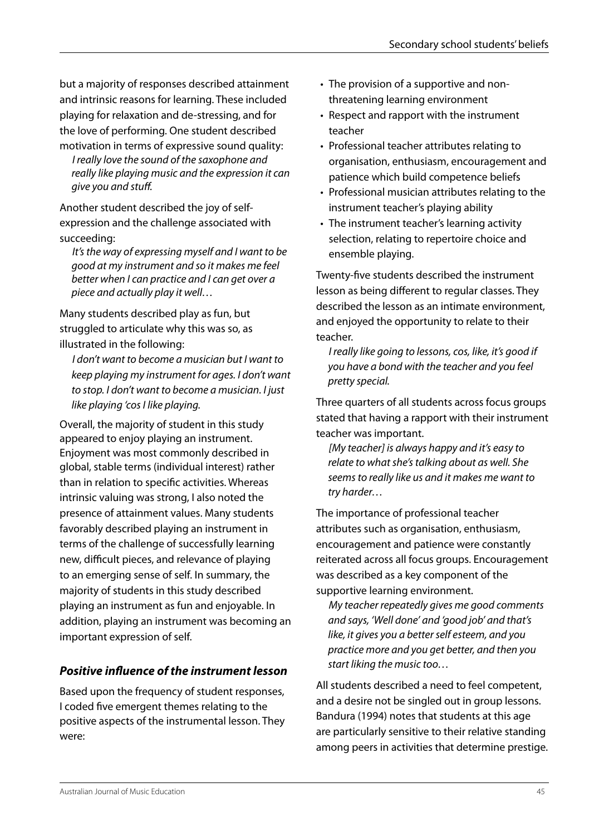but a majority of responses described attainment and intrinsic reasons for learning. These included playing for relaxation and de-stressing, and for the love of performing. One student described motivation in terms of expressive sound quality:

*I really love the sound of the saxophone and really like playing music and the expression it can give you and stuff.*

Another student described the joy of selfexpression and the challenge associated with succeeding:

*It's the way of expressing myself and I want to be good at my instrument and so it makes me feel better when I can practice and I can get over a piece and actually play it well…*

Many students described play as fun, but struggled to articulate why this was so, as illustrated in the following:

*I don't want to become a musician but I want to keep playing my instrument for ages. I don't want to stop. I don't want to become a musician. I just like playing 'cos I like playing.*

Overall, the majority of student in this study appeared to enjoy playing an instrument. Enjoyment was most commonly described in global, stable terms (individual interest) rather than in relation to specific activities. Whereas intrinsic valuing was strong, I also noted the presence of attainment values. Many students favorably described playing an instrument in terms of the challenge of successfully learning new, difficult pieces, and relevance of playing to an emerging sense of self. In summary, the majority of students in this study described playing an instrument as fun and enjoyable. In addition, playing an instrument was becoming an important expression of self.

# *Positive influence of the instrument lesson*

Based upon the frequency of student responses, I coded five emergent themes relating to the positive aspects of the instrumental lesson. They were:

- The provision of a supportive and nonthreatening learning environment
- Respect and rapport with the instrument teacher
- Professional teacher attributes relating to organisation, enthusiasm, encouragement and patience which build competence beliefs
- • Professional musician attributes relating to the instrument teacher's playing ability
- The instrument teacher's learning activity selection, relating to repertoire choice and ensemble playing.

Twenty-five students described the instrument lesson as being different to regular classes. They described the lesson as an intimate environment, and enjoyed the opportunity to relate to their teacher.

*I really like going to lessons, cos, like, it's good if you have a bond with the teacher and you feel pretty special.*

Three quarters of all students across focus groups stated that having a rapport with their instrument teacher was important.

*[My teacher] is always happy and it's easy to relate to what she's talking about as well. She seems to really like us and it makes me want to try harder…*

The importance of professional teacher attributes such as organisation, enthusiasm, encouragement and patience were constantly reiterated across all focus groups. Encouragement was described as a key component of the supportive learning environment.

*My teacher repeatedly gives me good comments and says, 'Well done' and 'good job' and that's like, it gives you a better self esteem, and you practice more and you get better, and then you start liking the music too…*

All students described a need to feel competent, and a desire not be singled out in group lessons. Bandura (1994) notes that students at this age are particularly sensitive to their relative standing among peers in activities that determine prestige.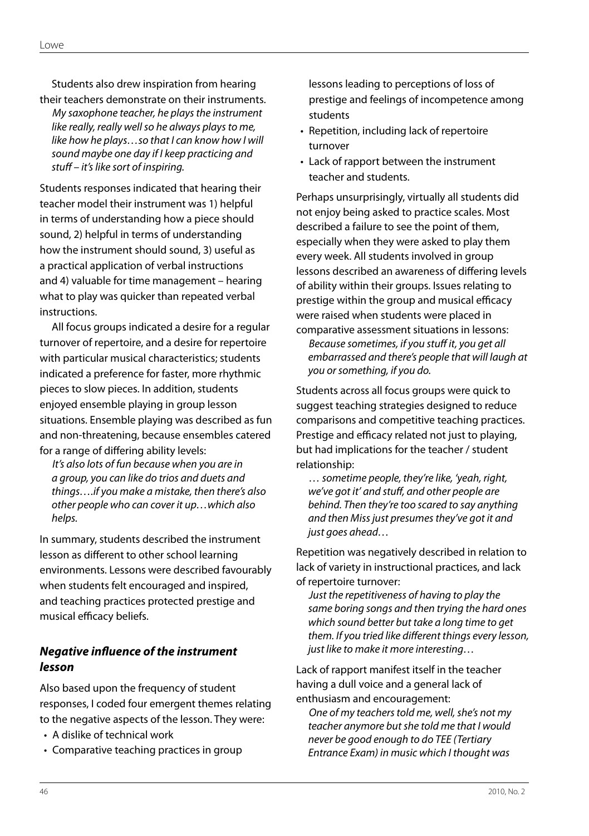Students also drew inspiration from hearing their teachers demonstrate on their instruments.

*My saxophone teacher, he plays the instrument like really, really well so he always plays to me, like how he plays…so that I can know how I will sound maybe one day if I keep practicing and stuff – it's like sort of inspiring.*

Students responses indicated that hearing their teacher model their instrument was 1) helpful in terms of understanding how a piece should sound, 2) helpful in terms of understanding how the instrument should sound, 3) useful as a practical application of verbal instructions and 4) valuable for time management – hearing what to play was quicker than repeated verbal instructions.

All focus groups indicated a desire for a regular turnover of repertoire, and a desire for repertoire with particular musical characteristics; students indicated a preference for faster, more rhythmic pieces to slow pieces. In addition, students enjoyed ensemble playing in group lesson situations. Ensemble playing was described as fun and non-threatening, because ensembles catered for a range of differing ability levels:

*It's also lots of fun because when you are in a group, you can like do trios and duets and things….if you make a mistake, then there's also other people who can cover it up…which also helps.* 

In summary, students described the instrument lesson as different to other school learning environments. Lessons were described favourably when students felt encouraged and inspired, and teaching practices protected prestige and musical efficacy beliefs.

#### *Negative influence of the instrument lesson*

Also based upon the frequency of student responses, I coded four emergent themes relating to the negative aspects of the lesson. They were:

- • A dislike of technical work
- Comparative teaching practices in group

lessons leading to perceptions of loss of prestige and feelings of incompetence among students

- Repetition, including lack of repertoire turnover
- Lack of rapport between the instrument teacher and students.

Perhaps unsurprisingly, virtually all students did not enjoy being asked to practice scales. Most described a failure to see the point of them, especially when they were asked to play them every week. All students involved in group lessons described an awareness of differing levels of ability within their groups. Issues relating to prestige within the group and musical efficacy were raised when students were placed in

comparative assessment situations in lessons: *Because sometimes, if you stuff it, you get all embarrassed and there's people that will laugh at you or something, if you do.*

Students across all focus groups were quick to suggest teaching strategies designed to reduce comparisons and competitive teaching practices. Prestige and efficacy related not just to playing, but had implications for the teacher / student relationship:

*… sometime people, they're like, 'yeah, right, we've got it' and stuff, and other people are behind. Then they're too scared to say anything and then Miss just presumes they've got it and just goes ahead…*

Repetition was negatively described in relation to lack of variety in instructional practices, and lack of repertoire turnover:

*Just the repetitiveness of having to play the same boring songs and then trying the hard ones which sound better but take a long time to get them. If you tried like different things every lesson, just like to make it more interesting…*

Lack of rapport manifest itself in the teacher having a dull voice and a general lack of enthusiasm and encouragement:

*One of my teachers told me, well, she's not my teacher anymore but she told me that I would never be good enough to do TEE (Tertiary Entrance Exam) in music which I thought was*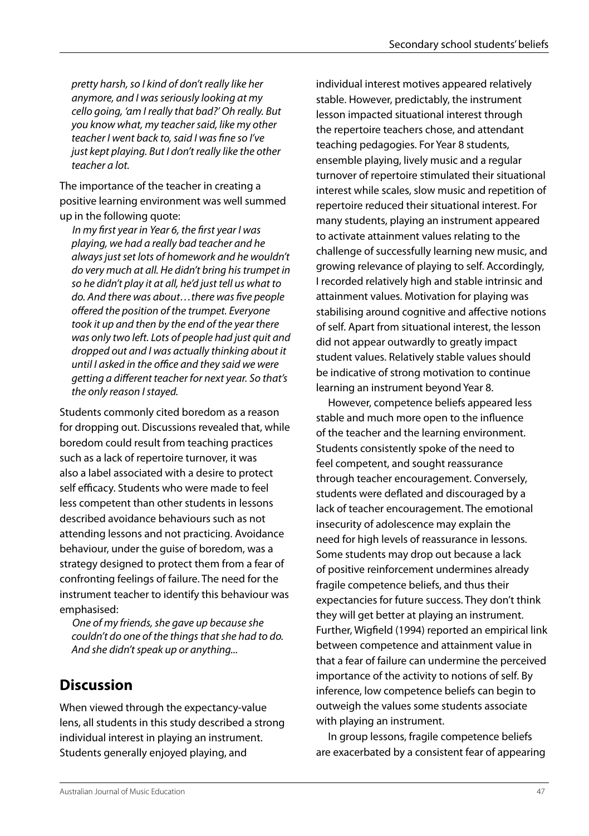*pretty harsh, so I kind of don't really like her anymore, and I was seriously looking at my cello going, 'am I really that bad?' Oh really. But you know what, my teacher said, like my other teacher I went back to, said I was fine so I've just kept playing. But I don't really like the other teacher a lot.*

The importance of the teacher in creating a positive learning environment was well summed up in the following quote:

*In my first year in Year 6, the first year I was playing, we had a really bad teacher and he always just set lots of homework and he wouldn't do very much at all. He didn't bring his trumpet in so he didn't play it at all, he'd just tell us what to do. And there was about…there was five people offered the position of the trumpet. Everyone took it up and then by the end of the year there was only two left. Lots of people had just quit and dropped out and I was actually thinking about it until I asked in the office and they said we were getting a different teacher for next year. So that's the only reason I stayed.*

Students commonly cited boredom as a reason for dropping out. Discussions revealed that, while boredom could result from teaching practices such as a lack of repertoire turnover, it was also a label associated with a desire to protect self efficacy. Students who were made to feel less competent than other students in lessons described avoidance behaviours such as not attending lessons and not practicing. Avoidance behaviour, under the guise of boredom, was a strategy designed to protect them from a fear of confronting feelings of failure. The need for the instrument teacher to identify this behaviour was emphasised:

*One of my friends, she gave up because she couldn't do one of the things that she had to do. And she didn't speak up or anything...* 

# **Discussion**

When viewed through the expectancy-value lens, all students in this study described a strong individual interest in playing an instrument. Students generally enjoyed playing, and

individual interest motives appeared relatively stable. However, predictably, the instrument lesson impacted situational interest through the repertoire teachers chose, and attendant teaching pedagogies. For Year 8 students, ensemble playing, lively music and a regular turnover of repertoire stimulated their situational interest while scales, slow music and repetition of repertoire reduced their situational interest. For many students, playing an instrument appeared to activate attainment values relating to the challenge of successfully learning new music, and growing relevance of playing to self. Accordingly, I recorded relatively high and stable intrinsic and attainment values. Motivation for playing was stabilising around cognitive and affective notions of self. Apart from situational interest, the lesson did not appear outwardly to greatly impact student values. Relatively stable values should be indicative of strong motivation to continue learning an instrument beyond Year 8.

However, competence beliefs appeared less stable and much more open to the influence of the teacher and the learning environment. Students consistently spoke of the need to feel competent, and sought reassurance through teacher encouragement. Conversely, students were deflated and discouraged by a lack of teacher encouragement. The emotional insecurity of adolescence may explain the need for high levels of reassurance in lessons. Some students may drop out because a lack of positive reinforcement undermines already fragile competence beliefs, and thus their expectancies for future success. They don't think they will get better at playing an instrument. Further, Wigfield (1994) reported an empirical link between competence and attainment value in that a fear of failure can undermine the perceived importance of the activity to notions of self. By inference, low competence beliefs can begin to outweigh the values some students associate with playing an instrument.

In group lessons, fragile competence beliefs are exacerbated by a consistent fear of appearing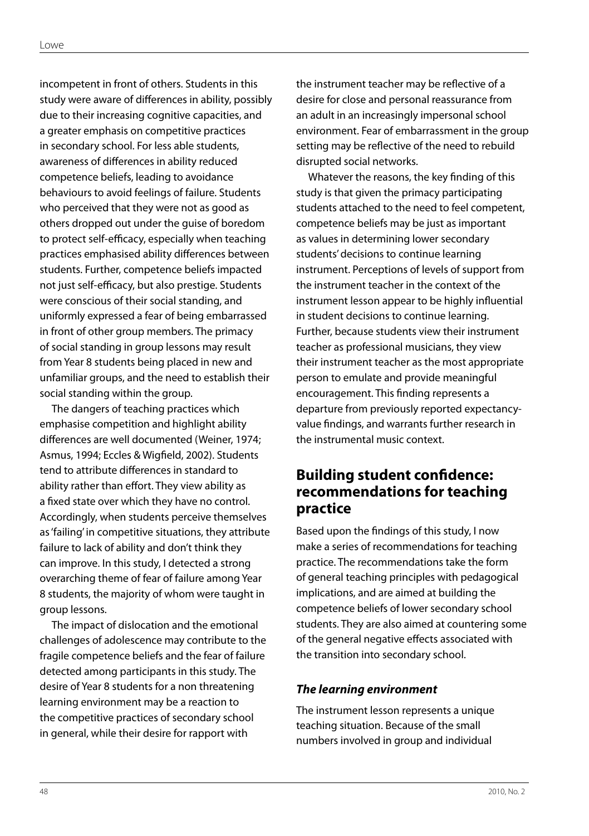incompetent in front of others. Students in this study were aware of differences in ability, possibly due to their increasing cognitive capacities, and a greater emphasis on competitive practices in secondary school. For less able students, awareness of differences in ability reduced competence beliefs, leading to avoidance behaviours to avoid feelings of failure. Students who perceived that they were not as good as others dropped out under the guise of boredom to protect self-efficacy, especially when teaching practices emphasised ability differences between students. Further, competence beliefs impacted not just self-efficacy, but also prestige. Students were conscious of their social standing, and uniformly expressed a fear of being embarrassed in front of other group members. The primacy of social standing in group lessons may result from Year 8 students being placed in new and unfamiliar groups, and the need to establish their social standing within the group.

The dangers of teaching practices which emphasise competition and highlight ability differences are well documented (Weiner, 1974; Asmus, 1994; Eccles & Wigfield, 2002). Students tend to attribute differences in standard to ability rather than effort. They view ability as a fixed state over which they have no control. Accordingly, when students perceive themselves as 'failing' in competitive situations, they attribute failure to lack of ability and don't think they can improve. In this study, I detected a strong overarching theme of fear of failure among Year 8 students, the majority of whom were taught in group lessons.

The impact of dislocation and the emotional challenges of adolescence may contribute to the fragile competence beliefs and the fear of failure detected among participants in this study. The desire of Year 8 students for a non threatening learning environment may be a reaction to the competitive practices of secondary school in general, while their desire for rapport with

the instrument teacher may be reflective of a desire for close and personal reassurance from an adult in an increasingly impersonal school environment. Fear of embarrassment in the group setting may be reflective of the need to rebuild disrupted social networks.

Whatever the reasons, the key finding of this study is that given the primacy participating students attached to the need to feel competent, competence beliefs may be just as important as values in determining lower secondary students' decisions to continue learning instrument. Perceptions of levels of support from the instrument teacher in the context of the instrument lesson appear to be highly influential in student decisions to continue learning. Further, because students view their instrument teacher as professional musicians, they view their instrument teacher as the most appropriate person to emulate and provide meaningful encouragement. This finding represents a departure from previously reported expectancyvalue findings, and warrants further research in the instrumental music context.

# **Building student confidence: recommendations for teaching practice**

Based upon the findings of this study, I now make a series of recommendations for teaching practice. The recommendations take the form of general teaching principles with pedagogical implications, and are aimed at building the competence beliefs of lower secondary school students. They are also aimed at countering some of the general negative effects associated with the transition into secondary school.

# *The learning environment*

The instrument lesson represents a unique teaching situation. Because of the small numbers involved in group and individual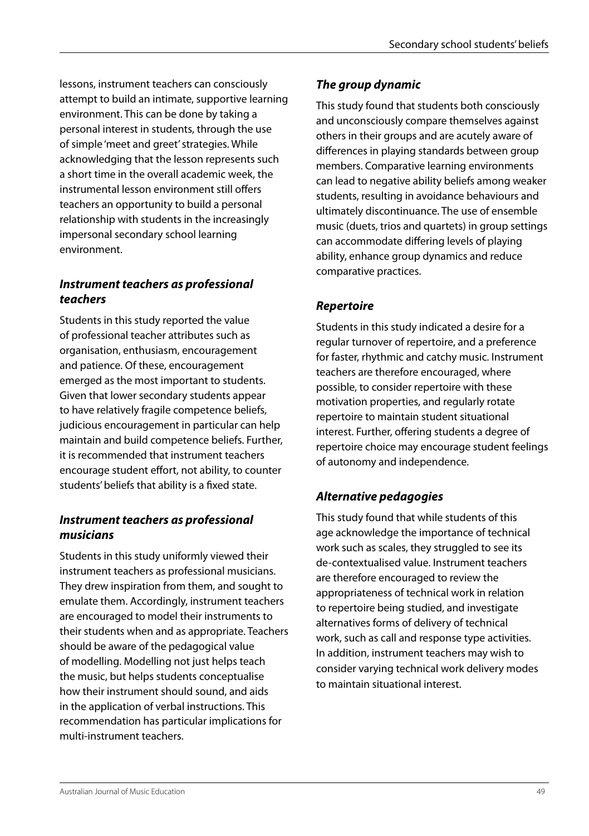lessons, instrument teachers can consciously attempt to build an intimate, supportive learning environment. This can be done by taking a personal interest in students, through the use of simple 'meet and greet' strategies. While acknowledging that the lesson represents such a short time in the overall academic week, the instrumental lesson environment still offers teachers an opportunity to build a personal relationship with students in the increasingly impersonal secondary school learning environment.

#### *Instrument teachers as professional teachers*

Students in this study reported the value of professional teacher attributes such as organisation, enthusiasm, encouragement and patience. Of these, encouragement emerged as the most important to students. Given that lower secondary students appear to have relatively fragile competence beliefs, judicious encouragement in particular can help maintain and build competence beliefs. Further, it is recommended that instrument teachers encourage student effort, not ability, to counter students' beliefs that ability is a fixed state.

#### *Instrument teachers as professional musicians*

Students in this study uniformly viewed their instrument teachers as professional musicians. They drew inspiration from them, and sought to emulate them. Accordingly, instrument teachers are encouraged to model their instruments to their students when and as appropriate. Teachers should be aware of the pedagogical value of modelling. Modelling not just helps teach the music, but helps students conceptualise how their instrument should sound, and aids in the application of verbal instructions. This recommendation has particular implications for multi-instrument teachers.

## *The group dynamic*

This study found that students both consciously and unconsciously compare themselves against others in their groups and are acutely aware of differences in playing standards between group members. Comparative learning environments can lead to negative ability beliefs among weaker students, resulting in avoidance behaviours and ultimately discontinuance. The use of ensemble music (duets, trios and quartets) in group settings can accommodate differing levels of playing ability, enhance group dynamics and reduce comparative practices.

# *Repertoire*

Students in this study indicated a desire for a regular turnover of repertoire, and a preference for faster, rhythmic and catchy music. Instrument teachers are therefore encouraged, where possible, to consider repertoire with these motivation properties, and regularly rotate repertoire to maintain student situational interest. Further, offering students a degree of repertoire choice may encourage student feelings of autonomy and independence.

# *Alternative pedagogies*

This study found that while students of this age acknowledge the importance of technical work such as scales, they struggled to see its de-contextualised value. Instrument teachers are therefore encouraged to review the appropriateness of technical work in relation to repertoire being studied, and investigate alternatives forms of delivery of technical work, such as call and response type activities. In addition, instrument teachers may wish to consider varying technical work delivery modes to maintain situational interest.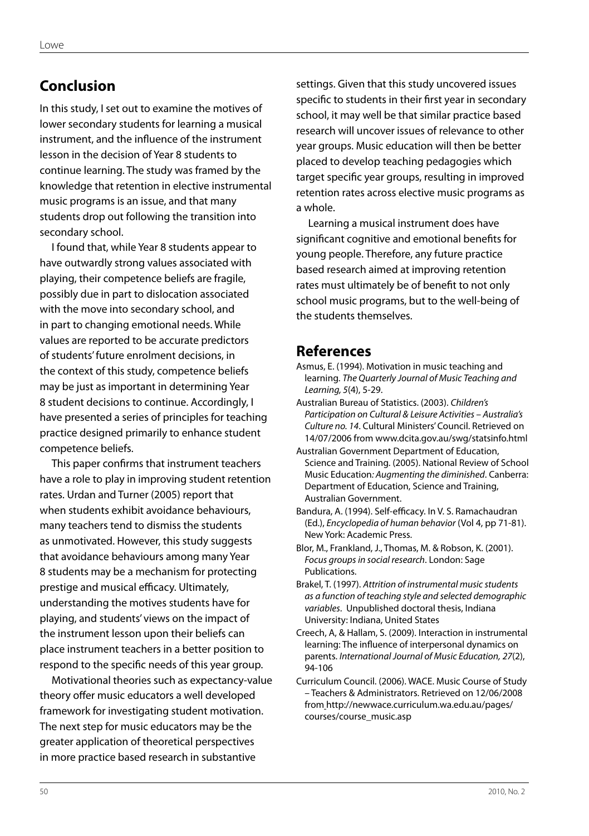# **Conclusion**

In this study, I set out to examine the motives of lower secondary students for learning a musical instrument, and the influence of the instrument lesson in the decision of Year 8 students to continue learning. The study was framed by the knowledge that retention in elective instrumental music programs is an issue, and that many students drop out following the transition into secondary school.

I found that, while Year 8 students appear to have outwardly strong values associated with playing, their competence beliefs are fragile, possibly due in part to dislocation associated with the move into secondary school, and in part to changing emotional needs. While values are reported to be accurate predictors of students' future enrolment decisions, in the context of this study, competence beliefs may be just as important in determining Year 8 student decisions to continue. Accordingly, I have presented a series of principles for teaching practice designed primarily to enhance student competence beliefs.

This paper confirms that instrument teachers have a role to play in improving student retention rates. Urdan and Turner (2005) report that when students exhibit avoidance behaviours, many teachers tend to dismiss the students as unmotivated. However, this study suggests that avoidance behaviours among many Year 8 students may be a mechanism for protecting prestige and musical efficacy. Ultimately, understanding the motives students have for playing, and students' views on the impact of the instrument lesson upon their beliefs can place instrument teachers in a better position to respond to the specific needs of this year group.

Motivational theories such as expectancy-value theory offer music educators a well developed framework for investigating student motivation. The next step for music educators may be the greater application of theoretical perspectives in more practice based research in substantive

settings. Given that this study uncovered issues specific to students in their first year in secondary school, it may well be that similar practice based research will uncover issues of relevance to other year groups. Music education will then be better placed to develop teaching pedagogies which target specific year groups, resulting in improved retention rates across elective music programs as a whole.

Learning a musical instrument does have significant cognitive and emotional benefits for young people. Therefore, any future practice based research aimed at improving retention rates must ultimately be of benefit to not only school music programs, but to the well-being of the students themselves.

# **References**

- Asmus, E. (1994). Motivation in music teaching and learning. *The Quarterly Journal of Music Teaching and Learning, 5*(4), 5-29.
- Australian Bureau of Statistics. (2003). *Children's Participation on Cultural & Leisure Activities – Australia's Culture no. 14*. Cultural Ministers' Council. Retrieved on 14/07/2006 from www.dcita.gov.au/swg/statsinfo.html
- Australian Government Department of Education, Science and Training. (2005). National Review of School Music Education*: Augmenting the diminished*. Canberra: Department of Education, Science and Training, Australian Government.
- Bandura, A. (1994). Self-efficacy. In V. S. Ramachaudran (Ed.), *Encyclopedia of human behavior* (Vol 4, pp 71-81). New York: Academic Press.
- Blor, M., Frankland, J., Thomas, M. & Robson, K. (2001). *Focus groups in social research*. London: Sage Publications.
- Brakel, T. (1997). *Attrition of instrumental music students as a function of teaching style and selected demographic variables*. Unpublished doctoral thesis, Indiana University: Indiana, United States
- Creech, A, & Hallam, S. (2009). Interaction in instrumental learning: The influence of interpersonal dynamics on parents. *International Journal of Music Education, 27*(2), 94-106
- Curriculum Council. (2006). WACE. Music Course of Study – Teachers & Administrators. Retrieved on 12/06/2008 from http://newwace.curriculum.wa.edu.au/pages/ courses/course\_music.asp